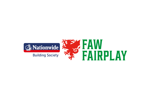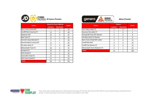

| <b>Teams</b>                 | <b>Players &amp; Team Officials</b> | <b>Points</b>     |     |
|------------------------------|-------------------------------------|-------------------|-----|
|                              | <b>Cautions</b>                     | <b>Dismissals</b> |     |
| <b>Barry Town United AFC</b> | 7                                   | 0                 | 28  |
| Cardiff Met University FC    | 12                                  | 0                 | 48  |
| Newtown AFC                  | 13                                  | $\Omega$          | 52  |
| <b>Bala Town FC</b>          | 11                                  | 1                 | 56  |
| Connah's Quay Nomads FC      | 9                                   | $\overline{2}$    | 56  |
| Haverfordwest County AFC     | 12                                  | 1                 | 60  |
| The New Saints FC            | 17                                  | $\Omega$          | 68  |
| Aberystwyth Town FC          | 18                                  | 0                 | 72  |
| Penybont FC                  | 19                                  | 0                 | 76  |
| Cefn Druids FC               | 11                                  | 3                 | 76  |
| Caernarfon Town FC           | 17                                  | 1                 | 78  |
| Flint Town United FC         | 15                                  | 3                 | 92  |
| <b>Totals</b>                | 161                                 | 11                | 762 |



| <b>Teams</b>                 |                 | <b>Players &amp; Team Officials</b> |               |
|------------------------------|-----------------|-------------------------------------|---------------|
|                              | <b>Cautions</b> | <b>Dismissals</b>                   | <b>Points</b> |
| <b>Barry Town United AFC</b> |                 | 0                                   | 28            |
| Cardiff Met University FC    | 12              | 0                                   | 48            |
| Newtown AFC                  | 13              | 0                                   | 52            |
| Bala Town FC                 | 11              |                                     | 56            |
| Connah's Quay Nomads FC      | q               |                                     | 56            |
| Haverfordwest County AFC     | 12              |                                     | 60            |
| The New Saints FC            | 17              | 0                                   | 68            |
| Aberystwyth Town FC          | 18              | 0                                   | 72            |
| Penybont FC                  | 19              | 0                                   | 76            |
|                              |                 |                                     |               |

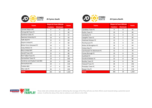

| <b>Teams</b>                     | <b>Players &amp; Team Officials</b> |                   | <b>Points</b> |                             | <b>Players &amp; Team Officials</b> |                   | Poin |
|----------------------------------|-------------------------------------|-------------------|---------------|-----------------------------|-------------------------------------|-------------------|------|
|                                  | <b>Cautions</b>                     | <b>Dismissals</b> |               | <b>Teams</b>                | <b>Cautions</b>                     | <b>Dismissals</b> |      |
| Llantwit Major AFC               | 9                                   | 0                 | 36            | <b>Llanidloes Town FC</b>   | 9                                   | 0                 | 36   |
| Pontypridd Town FC               | $\overline{7}$                      | 1                 | 40            | <b>Ruthin Town FC</b>       | 10                                  | 0                 | 40   |
| <b>Cwmbran Celtic FC</b>         | 13                                  | 0                 | 52            | Llandudno FC                | 11                                  | $\Omega$          | 44   |
| Swansea University FC            | 14                                  | 0                 | 56            | Llangefni Town FC           | 10                                  | $\overline{2}$    | 60   |
| Taffs Well FC                    | 15                                  | 0                 | 60            | Holyhead Hotspur FC         | 13                                  | $\mathbf{1}$      | 64   |
| Goytre United FC                 | 17                                  | 0                 | 68            | Penrhyncoch FC              | 16                                  | $\Omega$          | 64   |
| <b>Briton Ferry Llansawel FC</b> | 16                                  | 1                 | 76            | Airbus UK Broughton FC      | 16                                  | $\Omega$          | 64   |
| Undy Athletic FC                 | 21                                  | 0                 | 84            | Colwyn Bay FC               | 16                                  | $\Omega$          | 64   |
| <b>Risca United AFC</b>          | 19                                  | $\mathbf{1}$      | 86            | Llanrhaeadr Ym Mochnant FC  | 15                                  | $\mathbf{1}$      | 70   |
| Llanelli Town AFC                | 22                                  | 0                 | 88            | Conwy Borough FC            | 19                                  | 0                 | 76   |
| Port Talbot Town FC              | 22                                  | 0                 | 88            | Guilsfield FC               | 21                                  | 0                 | 84   |
| Carmarthen Town FC               | 19                                  | $\overline{2}$    | 100           | <b>Gresford Athletic FC</b> | 22                                  | $\mathbf{0}$      | 88   |
| Cambrian and Clydach Vale BGC    | 20                                  | 2                 | 104           | <b>Buckley Town FC</b>      | 24                                  | 0                 | 96   |
| Ammanford AFC                    | 24                                  | 2                 | 118           | Holywell Town FC            | 28                                  | 3                 | 14(  |
| Trefelin BGC                     | 17                                  | 6                 | 134           | Prestatyn Town FC           | 33                                  | 4                 | 17(  |
| Afan Lido FC                     | 26                                  | 3                 | 136           | <b>Bangor City FC</b>       | 22                                  | 8                 | 178  |
| <b>Totals</b>                    | 281                                 | 18                | 1,326         | <b>Totals</b>               | 285                                 | 19                | 1,35 |



| <b>Teams</b>                     |                 | <b>Players &amp; Team Officials</b> |               | <b>Teams</b>                | <b>Players &amp; Team Officials</b> |                   |                                                                                                                  |
|----------------------------------|-----------------|-------------------------------------|---------------|-----------------------------|-------------------------------------|-------------------|------------------------------------------------------------------------------------------------------------------|
|                                  | <b>Cautions</b> | <b>Dismissals</b>                   | <b>Points</b> |                             | <b>Cautions</b>                     | <b>Dismissals</b> | <b>Points</b><br>36<br>40<br>44<br>60<br>64<br>64<br>64<br>64<br>70<br>76<br>84<br>88<br>96<br>146<br>176<br>178 |
| Llantwit Major AFC               | 9               | 0                                   | 36            | Llanidloes Town FC          | 9                                   | 0                 |                                                                                                                  |
| Pontypridd Town FC               | 7               | 1                                   | 40            | <b>Ruthin Town FC</b>       | 10                                  | 0                 |                                                                                                                  |
| Cwmbran Celtic FC                | 13              | 0                                   | 52            | Llandudno FC                | 11                                  | 0                 |                                                                                                                  |
| Swansea University FC            | 14              | 0                                   | 56            | Llangefni Town FC           | 10                                  | $\overline{2}$    |                                                                                                                  |
| Taffs Well FC                    | 15              | 0                                   | 60            | Holyhead Hotspur FC         | 13                                  | 1                 |                                                                                                                  |
| Goytre United FC                 | 17              | 0                                   | 68            | Penrhyncoch FC              | 16                                  | 0                 |                                                                                                                  |
| <b>Briton Ferry Llansawel FC</b> | 16              | 1                                   | 76            | Airbus UK Broughton FC      | 16                                  | $\mathbf 0$       |                                                                                                                  |
| Undy Athletic FC                 | 21              | 0                                   | 84            | Colwyn Bay FC               | 16                                  | 0                 |                                                                                                                  |
| Risca United AFC                 | 19              | 1                                   | 86            | Llanrhaeadr Ym Mochnant FC  | 15                                  | 1                 |                                                                                                                  |
| Llanelli Town AFC                | 22              | 0                                   | 88            | Conwy Borough FC            | 19                                  | 0                 |                                                                                                                  |
| Port Talbot Town FC              | 22              | 0                                   | 88            | Guilsfield FC               | 21                                  | 0                 |                                                                                                                  |
| Carmarthen Town FC               | 19              | 2                                   | 100           | <b>Gresford Athletic FC</b> | 22                                  | 0                 |                                                                                                                  |
| Cambrian and Clydach Vale BGC    | 20              | $\overline{2}$                      | 104           | <b>Buckley Town FC</b>      | 24                                  | 0                 |                                                                                                                  |
| Ammanford AFC                    | 24              | $\overline{2}$                      | 118           | Holywell Town FC            | 28                                  | 3                 |                                                                                                                  |
| Trefelin BGC                     | 17              | 6                                   | 134           | Prestatyn Town FC           | 33                                  | 4                 |                                                                                                                  |
| Afan Lido FC                     | 26              | 3                                   | 136           | <b>Bangor City FC</b>       | 22                                  | 8                 |                                                                                                                  |
| <b>Totals</b>                    | 281             | 18                                  | 1,326         | <b>Totals</b>               | 285                                 | 19                |                                                                                                                  |

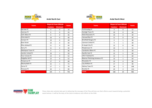

| <b>Teams</b>           |                 | <b>Players &amp; Team Officials</b> |               | <b>Teams</b>                          | <b>Players &amp; Team Officials</b> |                   |  |
|------------------------|-----------------|-------------------------------------|---------------|---------------------------------------|-------------------------------------|-------------------|--|
|                        | <b>Cautions</b> | <b>Dismissals</b>                   | <b>Points</b> |                                       | <b>Cautions</b>                     | <b>Dismissals</b> |  |
| <b>Berriew FC</b>      | 4               | 0                                   | 16            | Porthmadog FC                         | 3                                   | 0                 |  |
| Caersws FC             | 6               | 0                                   | 24            | Denbigh Town FC                       | 10                                  | 0                 |  |
| Cefn Albion FC         | 9               | 0                                   | 36            | Mold Alexandra FC                     | 10                                  | 0                 |  |
| Chirk AAA FC           | 10              | 0                                   | 40            | Llanuwchllyn FC                       | 11                                  | 0                 |  |
| Corwen FC              | 10              | 0                                   | 40            | <b>Brickfield Rangers FC</b>          | 9                                   | $\mathbf{1}$      |  |
| <b>Bow Street</b>      | 10              | 0                                   | 40            | Llanrwst United FC                    | 9                                   | 1                 |  |
| Rhos Aelwyd FC         | 11              | 0                                   | 44            | St Asaph City FC                      | 12                                  | 0                 |  |
| Kerry FC               | 11              | 0                                   | 44            | Rhydymwyn FC                          | 10                                  | 1                 |  |
| Welshpool Town FC      | 9               | $\mathbf{1}$                        | 46            | Llandudno Albion FC                   | 12                                  | $\mathbf{1}$      |  |
| Llanfair United FC     | 10              | 1                                   | 50            | Nantlle Vale FC                       | 12                                  | 1                 |  |
| <b>Four Crosses FC</b> | 13              | 0                                   | 52            | CPD Y Felinheli FC                    | 12                                  | $\mathbf{1}$      |  |
| Dolgellau AA FC        | 13              | 0                                   | 52            | <b>Blaenau Ffestiniog Amateurs FC</b> | 13                                  | 1                 |  |
| Penparcau FC           | 17              | 0                                   | 68            | <b>Rhostyllen FC</b>                  | 10                                  | 4                 |  |
| Machynlleth FC         | 15              | 1                                   | 72            | Llay Welfare FC                       | 17                                  | $\overline{2}$    |  |
| Carno FC               | 17              | 1                                   | 78            | Saltney Town FC                       | 18                                  | 3                 |  |
| Penycae FC             | 20              | 1                                   | 90            | Brymbo FC                             | 20                                  | 4                 |  |
| <b>Totals</b>          | 185             | 5                                   | 792           | <b>Totals</b>                         | 188                                 | 20                |  |



| <b>Teams</b> |                 | <b>Players &amp; Team Officials</b> |               | <b>Teams</b>                          |                 | <b>Players &amp; Team Officials</b> |  |  |
|--------------|-----------------|-------------------------------------|---------------|---------------------------------------|-----------------|-------------------------------------|--|--|
|              | <b>Cautions</b> | <b>Dismissals</b>                   | <b>Points</b> |                                       | <b>Cautions</b> | <b>Dismissals</b>                   |  |  |
|              | 4               | 0                                   | 16            | Porthmadog FC                         | 3               | 0                                   |  |  |
|              | 6               | 0                                   | 24            | Denbigh Town FC                       | 10              | $\mathbf 0$                         |  |  |
|              | 9               | 0                                   | 36            | Mold Alexandra FC                     | 10              | 0                                   |  |  |
|              | 10              | 0                                   | 40            | Llanuwchllyn FC                       | 11              | 0                                   |  |  |
|              | 10              | 0                                   | 40            | <b>Brickfield Rangers FC</b>          | 9               | $\mathbf{1}$                        |  |  |
|              | 10              | 0                                   | 40            | Llanrwst United FC                    | 9               | 1                                   |  |  |
|              | 11              | 0                                   | 44            | St Asaph City FC                      | 12              | $\mathbf 0$                         |  |  |
|              | 11              | 0                                   | 44            | Rhydymwyn FC                          | 10              | 1                                   |  |  |
| n FC         | 9               | 1                                   | 46            | Llandudno Albion FC                   | 12              | 1                                   |  |  |
|              | 10              | 1                                   | 50            | Nantlle Vale FC                       | 12              | $\mathbf{1}$                        |  |  |
|              | 13              | 0                                   | 52            | CPD Y Felinheli FC                    | 12              | 1                                   |  |  |
|              | 13              | 0                                   | 52            | <b>Blaenau Ffestiniog Amateurs FC</b> | 13              | $\mathbf{1}$                        |  |  |
|              | 17              | 0                                   | 68            | Rhostyllen FC                         | 10              | 4                                   |  |  |
|              | 15              | 1                                   | 72            | Llay Welfare FC                       | 17              | $\overline{2}$                      |  |  |
|              | 17              | 1                                   | 78            | Saltney Town FC                       | 18              | 3                                   |  |  |
|              | 20              | $\mathbf{1}$                        | 90            | Brymbo FC                             | 20              | 4                                   |  |  |
|              | 185             | 5                                   | 792           | <b>Totals</b>                         | 188             | 20                                  |  |  |

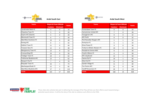

| <b>Teams</b>                     |                 | <b>Players &amp; Team Officials</b> |               | <b>Teams</b>                  | <b>Players &amp; Team Officials</b> |                   | Point |
|----------------------------------|-----------------|-------------------------------------|---------------|-------------------------------|-------------------------------------|-------------------|-------|
|                                  | <b>Cautions</b> | <b>Dismissals</b>                   | <b>Points</b> |                               | <b>Cautions</b>                     | <b>Dismissals</b> |       |
| Llandrindod Wells FC             | 4               | 0                                   | 16            | Pontardawe Town FC            | 6                                   | 0                 | 24    |
| Chepstow Town FC                 | 5               | 0                                   | 20            | Cwmamman United AFC           | $\overline{7}$                      | 0                 | 28    |
| Goytre AFC (Gwent)               | 5               | 0                                   | 20            | Ynysygerwn AFC                | 8                                   | 0                 | 32    |
| Monmouth Town FC                 | 6               | 1                                   | 34            | <b>AFC Porth</b>              | 8                                   | 0                 | 32    |
| <b>Abertillery Excelsiors FC</b> | 10              | 0                                   | 40            | Penrhiwceiber Rangers AFC     | 5                                   | $\mathbf{1}$      | 32    |
| Panteg AFC                       | 8               | $\mathbf{1}$                        | 42            | Pontyclun FC                  | 6                                   | $\mathbf{1}$      | 34    |
| Caldicot Town FC                 | 11              | 0                                   | 44            | Dinas Powys FC                | 9                                   | 0                 | 36    |
| <b>Treowen Stars FC</b>          | 12              | 0                                   | 48            | Treharris Athletic Western FC | 10                                  | 0                 | 40    |
| Abergavenny Town FC              | 13              | $\Omega$                            | 52            | Penydarren Seniors BGC        | 8                                   | $\mathbf{1}$      | 44    |
| Croesyceiliog AFC                | 14              | 0                                   | 56            | Ynyshir Albions FC            | 6                                   | 3                 | 58    |
| Tredegar Town FC                 | 10              | $\overline{2}$                      | 62            | AFC Llwydcoed                 | 12                                  | $\mathbf{1}$      | 58    |
| <b>Trethomas Bluebirds AFC</b>   | 13              | $\mathbf{1}$                        | 62            | Caerau Ely FC                 | 14                                  | 1                 | 66    |
| Newport City FC                  | $\overline{7}$  | 4                                   | 70            | West End FC                   | 11                                  | $\overline{2}$    | 66    |
| Rhayader Town FC                 | 16              | 1                                   | 74            | Garden Village FC             | 11                                  | $\overline{2}$    | 68    |
| Aberbargoed Buds FC              | 12              | 3                                   | 82            | <b>Ton Pentre AFC</b>         | 21                                  | $\Omega$          | 84    |
| Abertillery Bluebirds AFC        | 17              | 4                                   | 112           | <b>Cardiff Draconians FC</b>  | 26                                  | $\overline{2}$    | 126   |
| <b>Totals</b>                    | 163             | 17                                  | 834           | <b>Totals</b>                 | 168                                 | 14                | 828   |



| <b>Players &amp; Team Officials</b> |                   | <b>Points</b> | <b>Teams</b> |                               | <b>Players &amp; Team Officials</b> | <b>Points</b>     |     |
|-------------------------------------|-------------------|---------------|--------------|-------------------------------|-------------------------------------|-------------------|-----|
| <b>Cautions</b>                     | <b>Dismissals</b> |               |              |                               | <b>Cautions</b>                     | <b>Dismissals</b> |     |
| 4                                   | 0                 | 16            |              | Pontardawe Town FC            | 6                                   | $\mathbf 0$       | 24  |
| 5                                   | 0                 | 20            |              | Cwmamman United AFC           | $\overline{7}$                      | $\mathbf 0$       | 28  |
| 5                                   | 0                 | 20            |              | Ynysygerwn AFC                | 8                                   | $\mathbf 0$       | 32  |
| 6                                   | 1                 | 34            |              | <b>AFC Porth</b>              | 8                                   | $\mathbf 0$       | 32  |
| 10                                  | 0                 | 40            |              | Penrhiwceiber Rangers AFC     | 5                                   | 1                 | 32  |
| 8                                   | 1                 | 42            |              | Pontyclun FC                  | 6                                   | 1                 | 34  |
| 11                                  | 0                 | 44            |              | Dinas Powys FC                | 9                                   | $\mathbf 0$       | 36  |
| 12                                  | 0                 | 48            |              | Treharris Athletic Western FC | 10                                  | $\mathbf 0$       | 40  |
| 13                                  | 0                 | 52            |              | Penydarren Seniors BGC        | 8                                   | $\mathbf{1}$      | 44  |
| 14                                  | 0                 | 56            |              | Ynyshir Albions FC            | 6                                   | $\overline{3}$    | 58  |
| 10                                  | $\overline{2}$    | 62            |              | AFC Llwydcoed                 | 12                                  | $\mathbf{1}$      | 58  |
| 13                                  | $\mathbf{1}$      | 62            |              | Caerau Ely FC                 | 14                                  | $\mathbf{1}$      | 66  |
| $\overline{7}$                      | 4                 | 70            |              | West End FC                   | 11                                  | $\overline{2}$    | 66  |
| 16                                  | 1                 | 74            |              | Garden Village FC             | 11                                  | $\overline{2}$    | 68  |
| 12                                  | 3                 | 82            |              | Ton Pentre AFC                | 21                                  | $\mathbf 0$       | 84  |
| 17                                  | 4                 | 112           |              | <b>Cardiff Draconians FC</b>  | 26                                  | $\overline{2}$    | 126 |
| 163                                 | 17                | 834           |              | <b>Totals</b>                 | 168                                 | 14                | 828 |